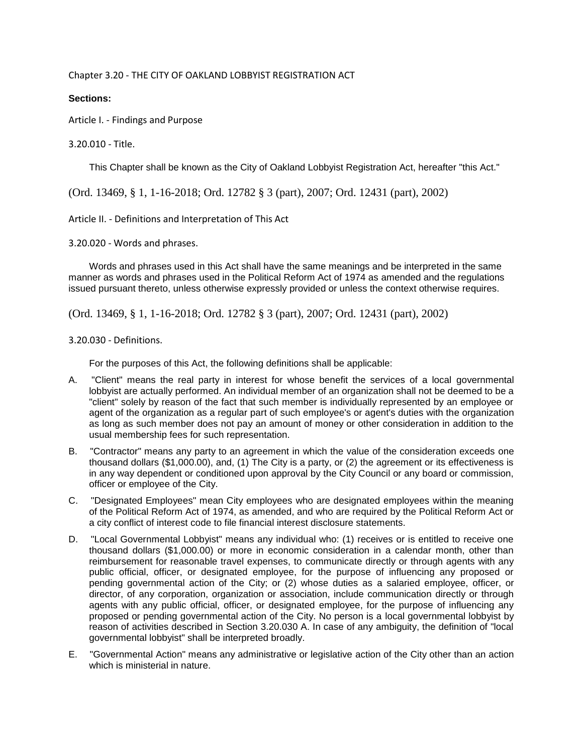Chapter 3.20 - THE CITY OF OAKLAND LOBBYIST REGISTRATION ACT

## **Sections:**

Article I. - Findings and Purpose

## 3.20.010 - Title.

This Chapter shall be known as the City of Oakland Lobbyist Registration Act, hereafter "this Act."

(Ord. 13469, § 1, 1-16-2018; Ord. 12782 § 3 (part), 2007; Ord. 12431 (part), 2002)

Article II. - Definitions and Interpretation of This Act

3.20.020 - Words and phrases.

Words and phrases used in this Act shall have the same meanings and be interpreted in the same manner as words and phrases used in the Political Reform Act of 1974 as amended and the regulations issued pursuant thereto, unless otherwise expressly provided or unless the context otherwise requires.

(Ord. 13469, § 1, 1-16-2018; Ord. 12782 § 3 (part), 2007; Ord. 12431 (part), 2002)

## 3.20.030 - Definitions.

For the purposes of this Act, the following definitions shall be applicable:

- A. "Client" means the real party in interest for whose benefit the services of a local governmental lobbyist are actually performed. An individual member of an organization shall not be deemed to be a "client" solely by reason of the fact that such member is individually represented by an employee or agent of the organization as a regular part of such employee's or agent's duties with the organization as long as such member does not pay an amount of money or other consideration in addition to the usual membership fees for such representation.
- B. "Contractor" means any party to an agreement in which the value of the consideration exceeds one thousand dollars (\$1,000.00), and, (1) The City is a party, or (2) the agreement or its effectiveness is in any way dependent or conditioned upon approval by the City Council or any board or commission, officer or employee of the City.
- C. "Designated Employees" mean City employees who are designated employees within the meaning of the Political Reform Act of 1974, as amended, and who are required by the Political Reform Act or a city conflict of interest code to file financial interest disclosure statements.
- D. "Local Governmental Lobbyist" means any individual who: (1) receives or is entitled to receive one thousand dollars (\$1,000.00) or more in economic consideration in a calendar month, other than reimbursement for reasonable travel expenses, to communicate directly or through agents with any public official, officer, or designated employee, for the purpose of influencing any proposed or pending governmental action of the City; or (2) whose duties as a salaried employee, officer, or director, of any corporation, organization or association, include communication directly or through agents with any public official, officer, or designated employee, for the purpose of influencing any proposed or pending governmental action of the City. No person is a local governmental lobbyist by reason of activities described in Section 3.20.030 A. In case of any ambiguity, the definition of "local governmental lobbyist" shall be interpreted broadly.
- E. "Governmental Action" means any administrative or legislative action of the City other than an action which is ministerial in nature.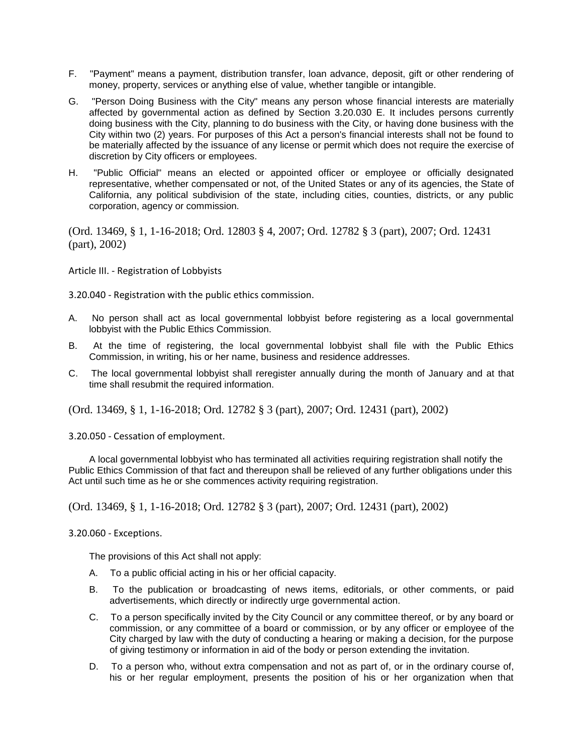- F. "Payment" means a payment, distribution transfer, loan advance, deposit, gift or other rendering of money, property, services or anything else of value, whether tangible or intangible.
- G. "Person Doing Business with the City" means any person whose financial interests are materially affected by governmental action as defined by Section 3.20.030 E. It includes persons currently doing business with the City, planning to do business with the City, or having done business with the City within two (2) years. For purposes of this Act a person's financial interests shall not be found to be materially affected by the issuance of any license or permit which does not require the exercise of discretion by City officers or employees.
- H. "Public Official" means an elected or appointed officer or employee or officially designated representative, whether compensated or not, of the United States or any of its agencies, the State of California, any political subdivision of the state, including cities, counties, districts, or any public corporation, agency or commission.

(Ord. 13469, § 1, 1-16-2018; Ord. 12803 § 4, 2007; Ord. 12782 § 3 (part), 2007; Ord. 12431 (part), 2002)

Article III. - Registration of Lobbyists

3.20.040 - Registration with the public ethics commission.

- A. No person shall act as local governmental lobbyist before registering as a local governmental lobbyist with the Public Ethics Commission.
- B. At the time of registering, the local governmental lobbyist shall file with the Public Ethics Commission, in writing, his or her name, business and residence addresses.
- C. The local governmental lobbyist shall reregister annually during the month of January and at that time shall resubmit the required information.

(Ord. 13469, § 1, 1-16-2018; Ord. 12782 § 3 (part), 2007; Ord. 12431 (part), 2002)

3.20.050 - Cessation of employment.

A local governmental lobbyist who has terminated all activities requiring registration shall notify the Public Ethics Commission of that fact and thereupon shall be relieved of any further obligations under this Act until such time as he or she commences activity requiring registration.

(Ord. 13469, § 1, 1-16-2018; Ord. 12782 § 3 (part), 2007; Ord. 12431 (part), 2002)

3.20.060 - Exceptions.

The provisions of this Act shall not apply:

- A. To a public official acting in his or her official capacity.
- B. To the publication or broadcasting of news items, editorials, or other comments, or paid advertisements, which directly or indirectly urge governmental action.
- C. To a person specifically invited by the City Council or any committee thereof, or by any board or commission, or any committee of a board or commission, or by any officer or employee of the City charged by law with the duty of conducting a hearing or making a decision, for the purpose of giving testimony or information in aid of the body or person extending the invitation.
- D. To a person who, without extra compensation and not as part of, or in the ordinary course of, his or her regular employment, presents the position of his or her organization when that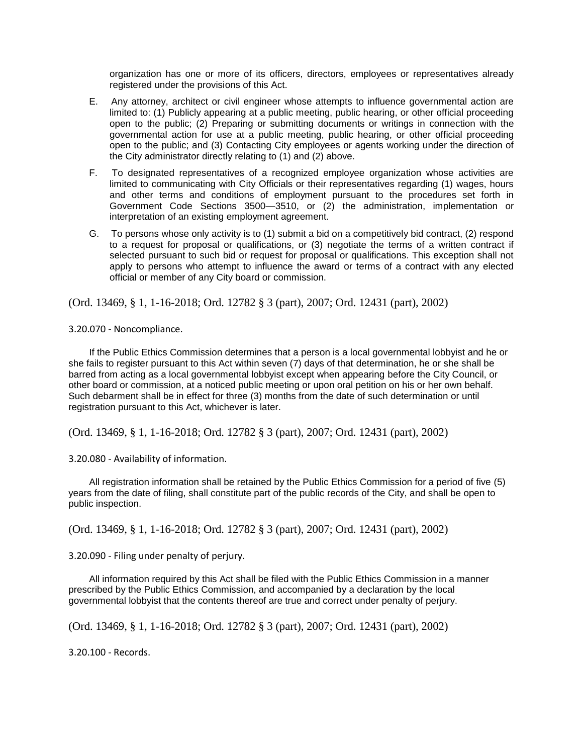organization has one or more of its officers, directors, employees or representatives already registered under the provisions of this Act.

- E. Any attorney, architect or civil engineer whose attempts to influence governmental action are limited to: (1) Publicly appearing at a public meeting, public hearing, or other official proceeding open to the public; (2) Preparing or submitting documents or writings in connection with the governmental action for use at a public meeting, public hearing, or other official proceeding open to the public; and (3) Contacting City employees or agents working under the direction of the City administrator directly relating to (1) and (2) above.
- F. To designated representatives of a recognized employee organization whose activities are limited to communicating with City Officials or their representatives regarding (1) wages, hours and other terms and conditions of employment pursuant to the procedures set forth in Government Code Sections 3500—3510, or (2) the administration, implementation or interpretation of an existing employment agreement.
- G. To persons whose only activity is to (1) submit a bid on a competitively bid contract, (2) respond to a request for proposal or qualifications, or (3) negotiate the terms of a written contract if selected pursuant to such bid or request for proposal or qualifications. This exception shall not apply to persons who attempt to influence the award or terms of a contract with any elected official or member of any City board or commission.

(Ord. 13469, § 1, 1-16-2018; Ord. 12782 § 3 (part), 2007; Ord. 12431 (part), 2002)

3.20.070 - Noncompliance.

If the Public Ethics Commission determines that a person is a local governmental lobbyist and he or she fails to register pursuant to this Act within seven (7) days of that determination, he or she shall be barred from acting as a local governmental lobbyist except when appearing before the City Council, or other board or commission, at a noticed public meeting or upon oral petition on his or her own behalf. Such debarment shall be in effect for three (3) months from the date of such determination or until registration pursuant to this Act, whichever is later.

(Ord. 13469, § 1, 1-16-2018; Ord. 12782 § 3 (part), 2007; Ord. 12431 (part), 2002)

3.20.080 - Availability of information.

All registration information shall be retained by the Public Ethics Commission for a period of five (5) years from the date of filing, shall constitute part of the public records of the City, and shall be open to public inspection.

(Ord. 13469, § 1, 1-16-2018; Ord. 12782 § 3 (part), 2007; Ord. 12431 (part), 2002)

3.20.090 - Filing under penalty of perjury.

All information required by this Act shall be filed with the Public Ethics Commission in a manner prescribed by the Public Ethics Commission, and accompanied by a declaration by the local governmental lobbyist that the contents thereof are true and correct under penalty of perjury.

(Ord. 13469, § 1, 1-16-2018; Ord. 12782 § 3 (part), 2007; Ord. 12431 (part), 2002)

3.20.100 - Records.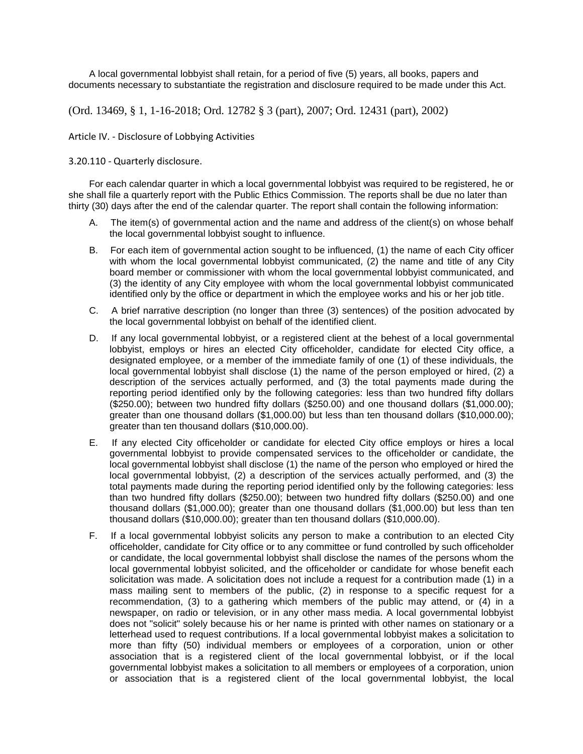A local governmental lobbyist shall retain, for a period of five (5) years, all books, papers and documents necessary to substantiate the registration and disclosure required to be made under this Act.

(Ord. 13469, § 1, 1-16-2018; Ord. 12782 § 3 (part), 2007; Ord. 12431 (part), 2002)

Article IV. - Disclosure of Lobbying Activities

3.20.110 - Quarterly disclosure.

For each calendar quarter in which a local governmental lobbyist was required to be registered, he or she shall file a quarterly report with the Public Ethics Commission. The reports shall be due no later than thirty (30) days after the end of the calendar quarter. The report shall contain the following information:

- A. The item(s) of governmental action and the name and address of the client(s) on whose behalf the local governmental lobbyist sought to influence.
- B. For each item of governmental action sought to be influenced, (1) the name of each City officer with whom the local governmental lobbyist communicated, (2) the name and title of any City board member or commissioner with whom the local governmental lobbyist communicated, and (3) the identity of any City employee with whom the local governmental lobbyist communicated identified only by the office or department in which the employee works and his or her job title.
- C. A brief narrative description (no longer than three (3) sentences) of the position advocated by the local governmental lobbyist on behalf of the identified client.
- D. If any local governmental lobbyist, or a registered client at the behest of a local governmental lobbyist, employs or hires an elected City officeholder, candidate for elected City office, a designated employee, or a member of the immediate family of one (1) of these individuals, the local governmental lobbyist shall disclose (1) the name of the person employed or hired, (2) a description of the services actually performed, and (3) the total payments made during the reporting period identified only by the following categories: less than two hundred fifty dollars (\$250.00); between two hundred fifty dollars (\$250.00) and one thousand dollars (\$1,000.00); greater than one thousand dollars (\$1,000.00) but less than ten thousand dollars (\$10,000.00); greater than ten thousand dollars (\$10,000.00).
- E. If any elected City officeholder or candidate for elected City office employs or hires a local governmental lobbyist to provide compensated services to the officeholder or candidate, the local governmental lobbyist shall disclose (1) the name of the person who employed or hired the local governmental lobbyist, (2) a description of the services actually performed, and (3) the total payments made during the reporting period identified only by the following categories: less than two hundred fifty dollars (\$250.00); between two hundred fifty dollars (\$250.00) and one thousand dollars (\$1,000.00); greater than one thousand dollars (\$1,000.00) but less than ten thousand dollars (\$10,000.00); greater than ten thousand dollars (\$10,000.00).
- F. If a local governmental lobbyist solicits any person to make a contribution to an elected City officeholder, candidate for City office or to any committee or fund controlled by such officeholder or candidate, the local governmental lobbyist shall disclose the names of the persons whom the local governmental lobbyist solicited, and the officeholder or candidate for whose benefit each solicitation was made. A solicitation does not include a request for a contribution made (1) in a mass mailing sent to members of the public, (2) in response to a specific request for a recommendation, (3) to a gathering which members of the public may attend, or (4) in a newspaper, on radio or television, or in any other mass media. A local governmental lobbyist does not "solicit" solely because his or her name is printed with other names on stationary or a letterhead used to request contributions. If a local governmental lobbyist makes a solicitation to more than fifty (50) individual members or employees of a corporation, union or other association that is a registered client of the local governmental lobbyist, or if the local governmental lobbyist makes a solicitation to all members or employees of a corporation, union or association that is a registered client of the local governmental lobbyist, the local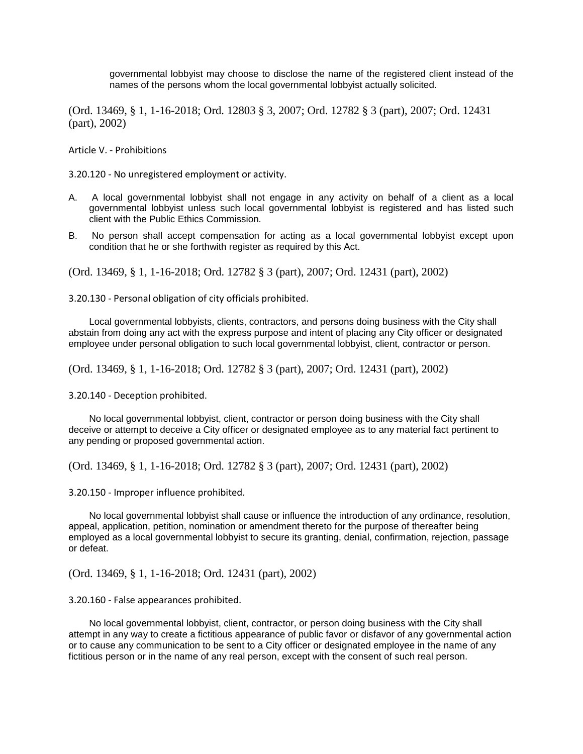governmental lobbyist may choose to disclose the name of the registered client instead of the names of the persons whom the local governmental lobbyist actually solicited.

(Ord. 13469, § 1, 1-16-2018; Ord. 12803 § 3, 2007; Ord. 12782 § 3 (part), 2007; Ord. 12431 (part), 2002)

Article V. - Prohibitions

3.20.120 - No unregistered employment or activity.

- A. A local governmental lobbyist shall not engage in any activity on behalf of a client as a local governmental lobbyist unless such local governmental lobbyist is registered and has listed such client with the Public Ethics Commission.
- B. No person shall accept compensation for acting as a local governmental lobbyist except upon condition that he or she forthwith register as required by this Act.

(Ord. 13469, § 1, 1-16-2018; Ord. 12782 § 3 (part), 2007; Ord. 12431 (part), 2002)

3.20.130 - Personal obligation of city officials prohibited.

Local governmental lobbyists, clients, contractors, and persons doing business with the City shall abstain from doing any act with the express purpose and intent of placing any City officer or designated employee under personal obligation to such local governmental lobbyist, client, contractor or person.

(Ord. 13469, § 1, 1-16-2018; Ord. 12782 § 3 (part), 2007; Ord. 12431 (part), 2002)

3.20.140 - Deception prohibited.

No local governmental lobbyist, client, contractor or person doing business with the City shall deceive or attempt to deceive a City officer or designated employee as to any material fact pertinent to any pending or proposed governmental action.

(Ord. 13469, § 1, 1-16-2018; Ord. 12782 § 3 (part), 2007; Ord. 12431 (part), 2002)

3.20.150 - Improper influence prohibited.

No local governmental lobbyist shall cause or influence the introduction of any ordinance, resolution, appeal, application, petition, nomination or amendment thereto for the purpose of thereafter being employed as a local governmental lobbyist to secure its granting, denial, confirmation, rejection, passage or defeat.

(Ord. 13469, § 1, 1-16-2018; Ord. 12431 (part), 2002)

3.20.160 - False appearances prohibited.

No local governmental lobbyist, client, contractor, or person doing business with the City shall attempt in any way to create a fictitious appearance of public favor or disfavor of any governmental action or to cause any communication to be sent to a City officer or designated employee in the name of any fictitious person or in the name of any real person, except with the consent of such real person.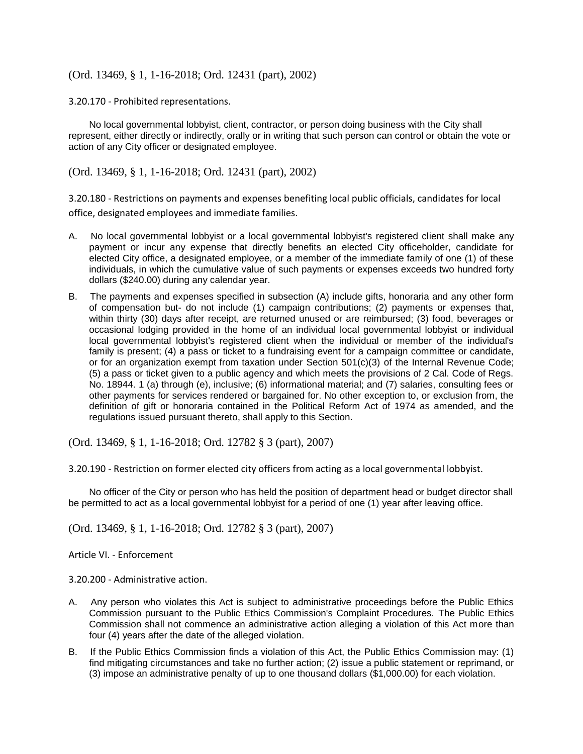(Ord. 13469, § 1, 1-16-2018; Ord. 12431 (part), 2002)

3.20.170 - Prohibited representations.

No local governmental lobbyist, client, contractor, or person doing business with the City shall represent, either directly or indirectly, orally or in writing that such person can control or obtain the vote or action of any City officer or designated employee.

(Ord. 13469, § 1, 1-16-2018; Ord. 12431 (part), 2002)

3.20.180 - Restrictions on payments and expenses benefiting local public officials, candidates for local office, designated employees and immediate families.

- A. No local governmental lobbyist or a local governmental lobbyist's registered client shall make any payment or incur any expense that directly benefits an elected City officeholder, candidate for elected City office, a designated employee, or a member of the immediate family of one (1) of these individuals, in which the cumulative value of such payments or expenses exceeds two hundred forty dollars (\$240.00) during any calendar year.
- B. The payments and expenses specified in subsection (A) include gifts, honoraria and any other form of compensation but- do not include (1) campaign contributions; (2) payments or expenses that, within thirty (30) days after receipt, are returned unused or are reimbursed; (3) food, beverages or occasional lodging provided in the home of an individual local governmental lobbyist or individual local governmental lobbyist's registered client when the individual or member of the individual's family is present; (4) a pass or ticket to a fundraising event for a campaign committee or candidate, or for an organization exempt from taxation under Section 501(c)(3) of the Internal Revenue Code; (5) a pass or ticket given to a public agency and which meets the provisions of 2 Cal. Code of Regs. No. 18944. 1 (a) through (e), inclusive; (6) informational material; and (7) salaries, consulting fees or other payments for services rendered or bargained for. No other exception to, or exclusion from, the definition of gift or honoraria contained in the Political Reform Act of 1974 as amended, and the regulations issued pursuant thereto, shall apply to this Section.

(Ord. 13469, § 1, 1-16-2018; Ord. 12782 § 3 (part), 2007)

3.20.190 - Restriction on former elected city officers from acting as a local governmental lobbyist.

No officer of the City or person who has held the position of department head or budget director shall be permitted to act as a local governmental lobbyist for a period of one (1) year after leaving office.

(Ord. 13469, § 1, 1-16-2018; Ord. 12782 § 3 (part), 2007)

Article VI. - Enforcement

3.20.200 - Administrative action.

- A. Any person who violates this Act is subject to administrative proceedings before the Public Ethics Commission pursuant to the Public Ethics Commission's Complaint Procedures. The Public Ethics Commission shall not commence an administrative action alleging a violation of this Act more than four (4) years after the date of the alleged violation.
- B. If the Public Ethics Commission finds a violation of this Act, the Public Ethics Commission may: (1) find mitigating circumstances and take no further action; (2) issue a public statement or reprimand, or (3) impose an administrative penalty of up to one thousand dollars (\$1,000.00) for each violation.